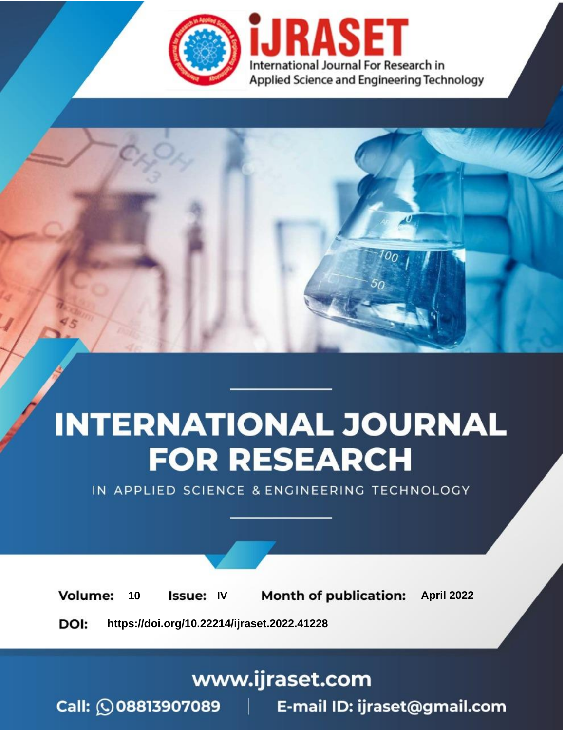

# **INTERNATIONAL JOURNAL FOR RESEARCH**

IN APPLIED SCIENCE & ENGINEERING TECHNOLOGY

Volume: 10 **Issue: IV Month of publication:** April 2022

**https://doi.org/10.22214/ijraset.2022.41228**DOI:

www.ijraset.com

Call: 008813907089 | E-mail ID: ijraset@gmail.com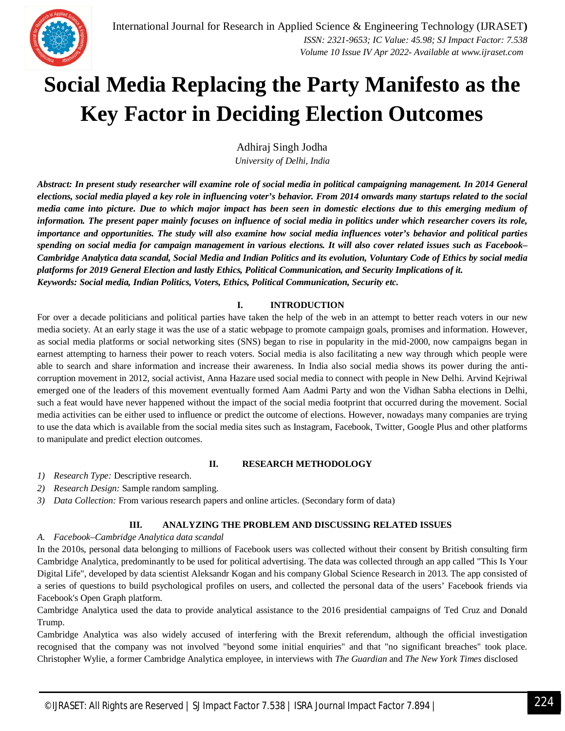## **Social Media Replacing the Party Manifesto as the Key Factor in Deciding Election Outcomes**

Adhiraj Singh Jodha *University of Delhi, India*

*Abstract: In present study researcher will examine role of social media in political campaigning management. In 2014 General elections, social media played a key role in influencing voter's behavior. From 2014 onwards many startups related to the social media came into picture. Due to which major impact has been seen in domestic elections due to this emerging medium of information. The present paper mainly focuses on influence of social media in politics under which researcher covers its role, importance and opportunities. The study will also examine how social media influences voter's behavior and political parties spending on social media for campaign management in various elections. It will also cover related issues such as Facebook– Cambridge Analytica data scandal, Social Media and Indian Politics and its evolution, Voluntary Code of Ethics by social media platforms for 2019 General Election and lastly Ethics, Political Communication, and Security Implications of it. Keywords: Social media, Indian Politics, Voters, Ethics, Political Communication, Security etc.*

#### **I. INTRODUCTION**

For over a decade politicians and political parties have taken the help of the web in an attempt to better reach voters in our new media society. At an early stage it was the use of a static webpage to promote campaign goals, promises and information. However, as social media platforms or social networking sites (SNS) began to rise in popularity in the mid-2000, now campaigns began in earnest attempting to harness their power to reach voters. Social media is also facilitating a new way through which people were able to search and share information and increase their awareness. In India also social media shows its power during the anticorruption movement in 2012, social activist, Anna Hazare used social media to connect with people in New Delhi. Arvind Kejriwal emerged one of the leaders of this movement eventually formed Aam Aadmi Party and won the Vidhan Sabha elections in Delhi, such a feat would have never happened without the impact of the social media footprint that occurred during the movement. Social media activities can be either used to influence or predict the outcome of elections. However, nowadays many companies are trying to use the data which is available from the social media sites such as Instagram, Facebook, Twitter, Google Plus and other platforms to manipulate and predict election outcomes.

#### **II. RESEARCH METHODOLOGY**

- *1) Research Type:* Descriptive research.
- *2) Research Design:* Sample random sampling.
- *3) Data Collection:* From various research papers and online articles. (Secondary form of data)

#### **III. ANALYZING THE PROBLEM AND DISCUSSING RELATED ISSUES**

#### *A. Facebook–Cambridge Analytica data scandal*

In the 2010s, personal data belonging to millions of Facebook users was collected without their consent by British consulting firm Cambridge Analytica, predominantly to be used for political advertising. The data was collected through an app called "This Is Your Digital Life", developed by data scientist Aleksandr Kogan and his company Global Science Research in 2013. The app consisted of a series of questions to build psychological profiles on users, and collected the personal data of the users' Facebook friends via Facebook's Open Graph platform.

Cambridge Analytica used the data to provide analytical assistance to the 2016 presidential campaigns of Ted Cruz and Donald Trump.

Cambridge Analytica was also widely accused of interfering with the Brexit referendum, although the official investigation recognised that the company was not involved "beyond some initial enquiries" and that "no significant breaches" took place. Christopher Wylie, a former Cambridge Analytica employee, in interviews with *The Guardian* and *The New York Times* disclosed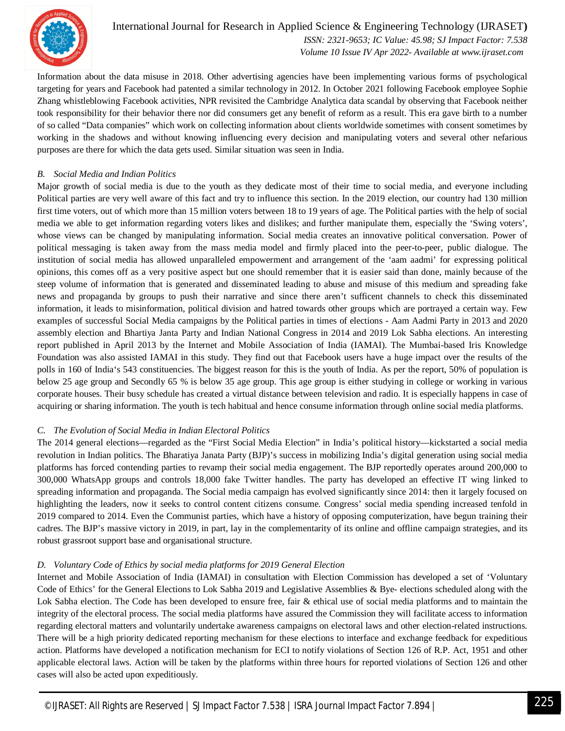

### International Journal for Research in Applied Science & Engineering Technology (IJRASET**)**

 *ISSN: 2321-9653; IC Value: 45.98; SJ Impact Factor: 7.538 Volume 10 Issue IV Apr 2022- Available at www.ijraset.com*

Information about the data misuse in 2018. Other advertising agencies have been implementing various forms of psychological targeting for years and Facebook had patented a similar technology in 2012. In October 2021 following Facebook employee Sophie Zhang whistleblowing Facebook activities, NPR revisited the Cambridge Analytica data scandal by observing that Facebook neither took responsibility for their behavior there nor did consumers get any benefit of reform as a result. This era gave birth to a number of so called "Data companies" which work on collecting information about clients worldwide sometimes with consent sometimes by working in the shadows and without knowing influencing every decision and manipulating voters and several other nefarious purposes are there for which the data gets used. Similar situation was seen in India.

#### *B. Social Media and Indian Politics*

Major growth of social media is due to the youth as they dedicate most of their time to social media, and everyone including Political parties are very well aware of this fact and try to influence this section. In the 2019 election, our country had 130 million first time voters, out of which more than 15 million voters between 18 to 19 years of age. The Political parties with the help of social media we able to get information regarding voters likes and dislikes; and further manipulate them, especially the 'Swing voters', whose views can be changed by manipulating information. Social media creates an innovative political conversation. Power of political messaging is taken away from the mass media model and firmly placed into the peer-to-peer, public dialogue. The institution of social media has allowed unparalleled empowerment and arrangement of the 'aam aadmi' for expressing political opinions, this comes off as a very positive aspect but one should remember that it is easier said than done, mainly because of the steep volume of information that is generated and disseminated leading to abuse and misuse of this medium and spreading fake news and propaganda by groups to push their narrative and since there aren't sufficent channels to check this disseminated information, it leads to misinformation, political division and hatred towards other groups which are portrayed a certain way. Few examples of successful Social Media campaigns by the Political parties in times of elections - Aam Aadmi Party in 2013 and 2020 assembly election and Bhartiya Janta Party and Indian National Congress in 2014 and 2019 Lok Sabha elections. An interesting report published in April 2013 by the Internet and Mobile Association of India (IAMAI). The Mumbai-based Iris Knowledge Foundation was also assisted IAMAI in this study. They find out that Facebook users have a huge impact over the results of the polls in 160 of India's 543 constituencies. The biggest reason for this is the youth of India. As per the report, 50% of population is below 25 age group and Secondly 65 % is below 35 age group. This age group is either studying in college or working in various corporate houses. Their busy schedule has created a virtual distance between television and radio. It is especially happens in case of acquiring or sharing information. The youth is tech habitual and hence consume information through online social media platforms.

#### *C. The Evolution of Social Media in Indian Electoral Politics*

The 2014 general elections—regarded as the "First Social Media Election" in India's political history—kickstarted a social media revolution in Indian politics. The Bharatiya Janata Party (BJP)'s success in mobilizing India's digital generation using social media platforms has forced contending parties to revamp their social media engagement. The BJP reportedly operates around 200,000 to 300,000 WhatsApp groups and controls 18,000 fake Twitter handles. The party has developed an effective IT wing linked to spreading information and propaganda. The Social media campaign has evolved significantly since 2014: then it largely focused on highlighting the leaders, now it seeks to control content citizens consume. Congress' social media spending increased tenfold in 2019 compared to 2014. Even the Communist parties, which have a history of opposing computerization, have begun training their cadres. The BJP's massive victory in 2019, in part, lay in the complementarity of its online and offline campaign strategies, and its robust grassroot support base and organisational structure.

#### *D. Voluntary Code of Ethics by social media platforms for 2019 General Election*

Internet and Mobile Association of India (IAMAI) in consultation with Election Commission has developed a set of 'Voluntary Code of Ethics' for the General Elections to Lok Sabha 2019 and Legislative Assemblies & Bye- elections scheduled along with the Lok Sabha election. The Code has been developed to ensure free, fair & ethical use of social media platforms and to maintain the integrity of the electoral process. The social media platforms have assured the Commission they will facilitate access to information regarding electoral matters and voluntarily undertake awareness campaigns on electoral laws and other election-related instructions. There will be a high priority dedicated reporting mechanism for these elections to interface and exchange feedback for expeditious action. Platforms have developed a notification mechanism for ECI to notify violations of Section 126 of R.P. Act, 1951 and other applicable electoral laws. Action will be taken by the platforms within three hours for reported violations of Section 126 and other cases will also be acted upon expeditiously.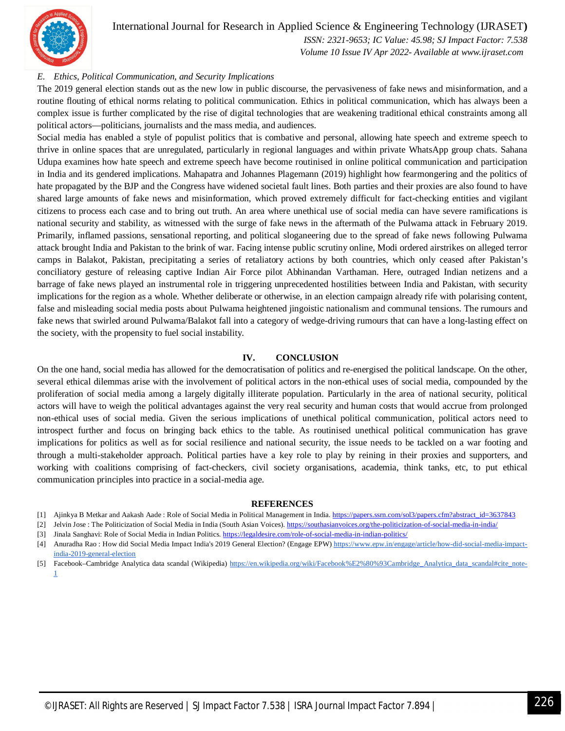

### International Journal for Research in Applied Science & Engineering Technology (IJRASET**)**

 *ISSN: 2321-9653; IC Value: 45.98; SJ Impact Factor: 7.538 Volume 10 Issue IV Apr 2022- Available at www.ijraset.com*

#### *E. Ethics, Political Communication, and Security Implications*

The 2019 general election stands out as the new low in public discourse, the pervasiveness of fake news and misinformation, and a routine flouting of ethical norms relating to political communication. Ethics in political communication, which has always been a complex issue is further complicated by the rise of digital technologies that are weakening traditional ethical constraints among all political actors—politicians, journalists and the mass media, and audiences.

Social media has enabled a style of populist politics that is combative and personal, allowing hate speech and extreme speech to thrive in online spaces that are unregulated, particularly in regional languages and within private WhatsApp group chats. Sahana Udupa examines how hate speech and extreme speech have become routinised in online political communication and participation in India and its gendered implications. Mahapatra and Johannes Plagemann (2019) highlight how fearmongering and the politics of hate propagated by the BJP and the Congress have widened societal fault lines. Both parties and their proxies are also found to have shared large amounts of fake news and misinformation, which proved extremely difficult for fact-checking entities and vigilant citizens to process each case and to bring out truth. An area where unethical use of social media can have severe ramifications is national security and stability, as witnessed with the surge of fake news in the aftermath of the Pulwama attack in February 2019. Primarily, inflamed passions, sensational reporting, and political sloganeering due to the spread of fake news following Pulwama attack brought India and Pakistan to the brink of war. Facing intense public scrutiny online, Modi ordered airstrikes on alleged terror camps in Balakot, Pakistan, precipitating a series of retaliatory actions by both countries, which only ceased after Pakistan's conciliatory gesture of releasing captive Indian Air Force pilot Abhinandan Varthaman. Here, outraged Indian netizens and a barrage of fake news played an instrumental role in triggering unprecedented hostilities between India and Pakistan, with security implications for the region as a whole. Whether deliberate or otherwise, in an election campaign already rife with polarising content, false and misleading social media posts about Pulwama heightened jingoistic nationalism and communal tensions. The rumours and fake news that swirled around Pulwama/Balakot fall into a category of wedge-driving rumours that can have a long-lasting effect on the society, with the propensity to fuel social instability.

#### **IV. CONCLUSION**

On the one hand, social media has allowed for the democratisation of politics and re-energised the political landscape. On the other, several ethical dilemmas arise with the involvement of political actors in the non-ethical uses of social media, compounded by the proliferation of social media among a largely digitally illiterate population. Particularly in the area of national security, political actors will have to weigh the political advantages against the very real security and human costs that would accrue from prolonged non-ethical uses of social media. Given the serious implications of unethical political communication, political actors need to introspect further and focus on bringing back ethics to the table. As routinised unethical political communication has grave implications for politics as well as for social resilience and national security, the issue needs to be tackled on a war footing and through a multi-stakeholder approach. Political parties have a key role to play by reining in their proxies and supporters, and working with coalitions comprising of fact-checkers, civil society organisations, academia, think tanks, etc, to put ethical communication principles into practice in a social-media age.

#### **REFERENCES**

- [1] Ajinkya B Metkar and Aakash Aade : Role of Social Media in Political Management in India. https://papers.ssrn.com/sol3/papers.cfm?abstract\_id=3637843
- [2] Jelvin Jose : The Politicization of Social Media in India (South Asian Voices). https://southasianvoices.org/the-politicization-of-social-media-in-india/
- [3] Jinala Sanghavi: Role of Social Media in Indian Politics. https://legaldesire.com/role-of-social-media-in-indian-politics/
- [4] Anuradha Rao : How did Social Media Impact India's 2019 General Election? (Engage EPW) https://www.epw.in/engage/article/how-did-social-media-impactindia-2019-general-election
- [5] Facebook–Cambridge Analytica data scandal (Wikipedia) https://en.wikipedia.org/wiki/Facebook%E2%80%93Cambridge\_Analytica\_data\_scandal#cite\_note-1